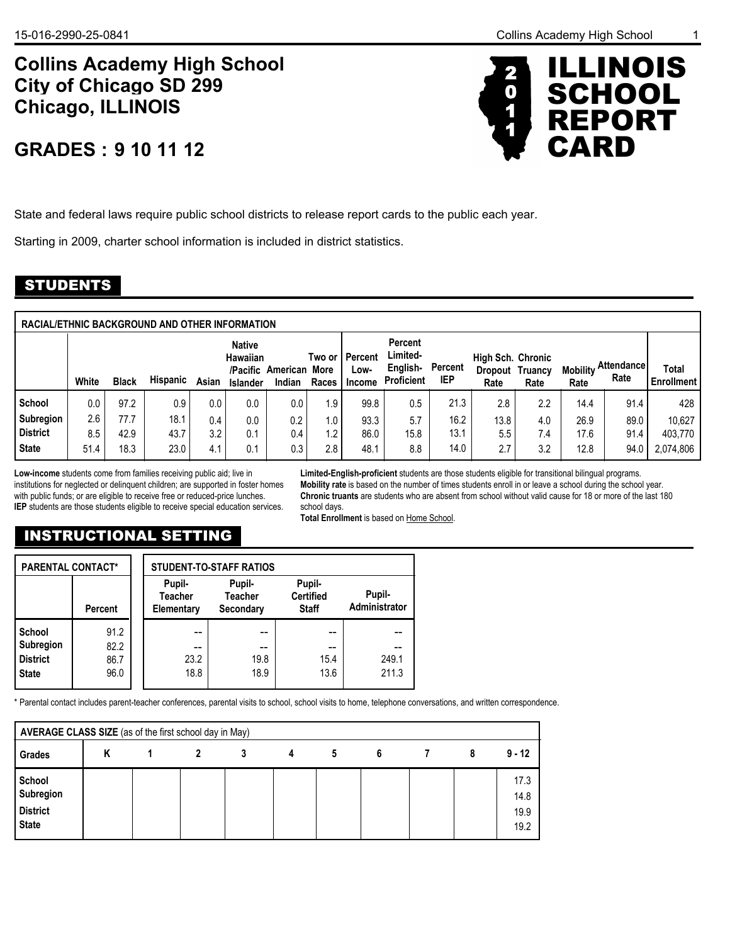# **9 10 11 12 GRADES :**

State and federal laws require public school districts to release report cards to the public each year.

Starting in 2009, charter school information is included in district statistics.

## STUDENTS

| RACIAL/ETHNIC BACKGROUND AND OTHER INFORMATION |       |              |                 |       |                                              |                                  |                   |                           |                                                             |                       |                           |                         |                         |                           |                            |
|------------------------------------------------|-------|--------------|-----------------|-------|----------------------------------------------|----------------------------------|-------------------|---------------------------|-------------------------------------------------------------|-----------------------|---------------------------|-------------------------|-------------------------|---------------------------|----------------------------|
|                                                | White | <b>Black</b> | <b>Hispanic</b> | Asian | <b>Native</b><br>Hawaiian<br><b>Islander</b> | /Pacific American More<br>Indian | Two or l<br>Races | Percent<br>Low-<br>Income | <b>Percent</b><br>Limited-<br>English-<br><b>Proficient</b> | Percent<br><b>IEP</b> | High Sch. Chronic<br>Rate | Dropout Truancy<br>Rate | <b>Mobility</b><br>Rate | <b>Attendance</b><br>Rate | Total<br><b>Enrollment</b> |
| School                                         | 0.0   | 97.2         | 0.9             | 0.0   | 0.0                                          | 0.0                              | 1.9               | 99.8                      | 0.5                                                         | 21.3                  | 2.8                       | 2.2                     | 14.4                    | 91.4                      | 428                        |
| Subregion                                      | 2.6   | 77.7         | 18.1            | 0.4   | 0.0                                          | 0.2                              | 1.0               | 93.3                      | 5.7                                                         | 16.2                  | 13.8                      | 4.0                     | 26.9                    | 89.0                      | 10.627                     |
| l District                                     | 8.5   | 42.9         | 43.7            | 3.2   | 0.1                                          | 0.4                              | 1.2               | 86.0                      | 15.8                                                        | 13.1                  | 5.5                       | 7.4                     | 17.6                    | 91.4                      | 403.770                    |
| <b>State</b>                                   | 51.4  | 18.3         | 23.0            | 4.1   | 0.1                                          | 0.3                              | 2.8               | 48.1                      | 8.8                                                         | 14.0                  | 2.7                       | 3.2                     | 12.8                    | 94.0                      | 2,074,806                  |

**Low-income** students come from families receiving public aid; live in institutions for neglected or delinquent children; are supported in foster homes with public funds; or are eligible to receive free or reduced-price lunches. **IEP** students are those students eligible to receive special education services.

**Limited-English-proficient** students are those students eligible for transitional bilingual programs. **Mobility rate** is based on the number of times students enroll in or leave a school during the school year. **Chronic truants** are students who are absent from school without valid cause for 18 or more of the last 180 school days.

**Total Enrollment** is based on Home School.

## INSTRUCTIONAL SETTING

| <b>PARENTAL CONTACT*</b>                                      |                              |                                        | <b>STUDENT-TO-STAFF RATIOS</b>        |                                            |                         |
|---------------------------------------------------------------|------------------------------|----------------------------------------|---------------------------------------|--------------------------------------------|-------------------------|
|                                                               | <b>Percent</b>               | Pupil-<br><b>Teacher</b><br>Elementary | Pupil-<br><b>Teacher</b><br>Secondary | Pupil-<br><b>Certified</b><br><b>Staff</b> | Pupil-<br>Administrator |
| School<br><b>Subregion</b><br><b>District</b><br><b>State</b> | 91.2<br>82.2<br>86.7<br>96.0 | --<br>--<br>23.2<br>18.8               | --<br>--<br>19.8<br>18.9              | 15.4<br>13.6                               | 249.1<br>211.3          |

\* Parental contact includes parent-teacher conferences, parental visits to school, school visits to home, telephone conversations, and written correspondence.

| AVERAGE CLASS SIZE (as of the first school day in May) |   |   |   |   |   |   |                              |
|--------------------------------------------------------|---|---|---|---|---|---|------------------------------|
| Grades                                                 | Κ | 2 | 4 | 5 | 6 | 8 | $9 - 12$                     |
| School<br>Subregion<br><b>District</b><br><b>State</b> |   |   |   |   |   |   | 17.3<br>14.8<br>19.9<br>19.2 |



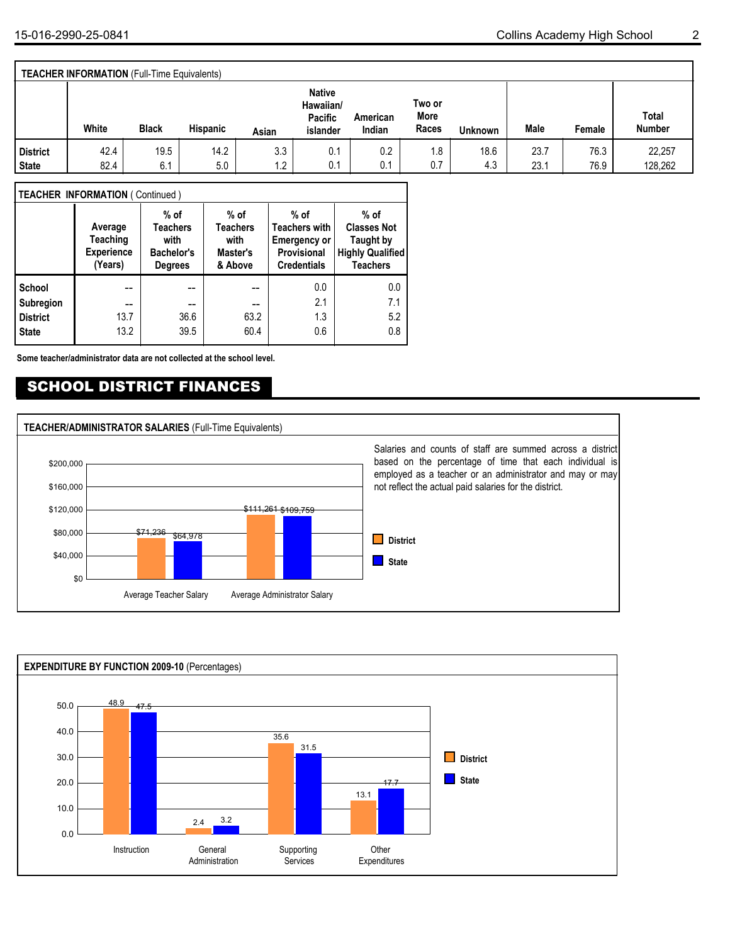**State District** **Total**

**Male Female Number**

|  | <b>TEACHER INFORMATION (Full-Time Equivalents)</b> |              |                 |       |                                                   |                    |                         |                |      |
|--|----------------------------------------------------|--------------|-----------------|-------|---------------------------------------------------|--------------------|-------------------------|----------------|------|
|  | White                                              | <b>Black</b> | <b>Hispanic</b> | Asian | <b>Native</b><br>Hawaiian/<br>Pacific<br>islander | American<br>Indian | Two or<br>More<br>Races | <b>Unknown</b> | Male |
|  |                                                    |              |                 |       |                                                   |                    |                         |                |      |

42.4 | 19.5 | 14.2 | 3.3 | 0.1 | 0.2 | 1.8 | 18.6 | 23.7 | 76.3 | 22,257 82.4 6.1 5.0 1.2 0.1 0.1 0.7 4.3 23.1 76.9 128,262

 $0.1$  0.1 0.7

0.1

1.8

18.6 4.3

#### **TEACHER INFORMATION** ( Continued )

|                 | Average<br><b>Teaching</b><br><b>Experience</b><br>(Years) | $%$ of<br><b>Teachers</b><br>with<br>Bachelor's<br><b>Degrees</b> | $%$ of<br><b>Teachers</b><br>with<br>Master's<br>& Above | $%$ of<br><b>Teachers with</b><br><b>Emergency or</b><br>Provisional<br><b>Credentials</b> | $%$ of<br><b>Classes Not</b><br>Taught by<br><b>Highly Qualified</b><br><b>Teachers</b> |
|-----------------|------------------------------------------------------------|-------------------------------------------------------------------|----------------------------------------------------------|--------------------------------------------------------------------------------------------|-----------------------------------------------------------------------------------------|
| School          |                                                            |                                                                   |                                                          | 0.0                                                                                        | 0.0                                                                                     |
| Subregion       | --                                                         | --                                                                | --                                                       | 2.1                                                                                        | 7.1                                                                                     |
| <b>District</b> | 13.7                                                       | 36.6                                                              | 63.2                                                     | 1.3                                                                                        | 5.2                                                                                     |
| <b>State</b>    | 13.2                                                       | 39.5                                                              | 60.4                                                     | 0.6                                                                                        | 0.8                                                                                     |

**Some teacher/administrator data are not collected at the school level.**

## SCHOOL DISTRICT FINANCES



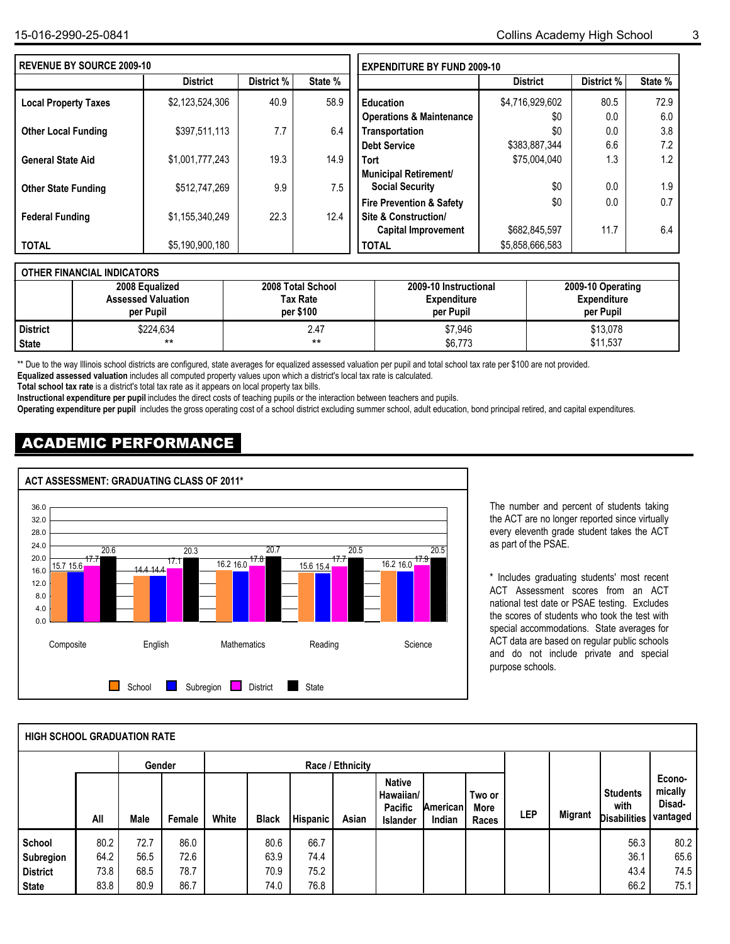| <b>REVENUE BY SOURCE 2009-10</b> |                 |            |         | <b>EXPENDITURE BY FUND 2009-10</b>  |                 |            |         |
|----------------------------------|-----------------|------------|---------|-------------------------------------|-----------------|------------|---------|
|                                  | <b>District</b> | District % | State % |                                     | <b>District</b> | District % | State % |
| <b>Local Property Taxes</b>      | \$2,123,524,306 | 40.9       | 58.9    | <b>Education</b>                    | \$4,716,929,602 | 80.5       | 72.9    |
|                                  |                 |            |         | <b>Operations &amp; Maintenance</b> | \$0             | 0.0        | 6.0     |
| <b>Other Local Funding</b>       | \$397,511,113   | 7.7        | 6.4     | <b>Transportation</b>               | \$0             | 0.0        | 3.8     |
|                                  |                 |            |         | <b>Debt Service</b>                 | \$383,887,344   | 6.6        | 7.2     |
| <b>General State Aid</b>         | \$1,001,777,243 | 19.3       | 14.9    | <b>Tort</b>                         | \$75,004,040    | 1.3        | 1.2     |
|                                  |                 |            |         | Municipal Retirement/               |                 |            |         |
| <b>Other State Funding</b>       | \$512,747,269   | 9.9        | 7.5     | <b>Social Security</b>              | \$0             | 0.0        | 1.9     |
|                                  |                 |            |         | <b>Fire Prevention &amp; Safety</b> | \$0             | 0.0        | 0.7     |
| <b>Federal Funding</b>           | \$1,155,340,249 | 22.3       | 12.4    | <b>Site &amp; Construction/</b>     |                 |            |         |
|                                  |                 |            |         | <b>Capital Improvement</b>          | \$682,845,597   | 11.7       | 6.4     |
| <b>TOTAL</b>                     | \$5,190,900,180 |            |         | <b>TOTAL</b>                        | \$5,858,666,583 |            |         |

## **OTHER FINANCIAL INDICATORS**

|                 | 2008 Equalized<br><b>Assessed Valuation</b> | 2008 Total School<br>Tax Rate | 2009-10 Instructional<br>Expenditure | 2009-10 Operating<br><b>Expenditure</b> |
|-----------------|---------------------------------------------|-------------------------------|--------------------------------------|-----------------------------------------|
|                 | per Pupil                                   | per \$100                     | per Pupil                            | per Pupil                               |
| <b>District</b> | \$224,634                                   | 2.47                          | \$7,946                              | \$13,078                                |
| State           | $***$                                       | $***$                         | \$6,773                              | \$11,537                                |

\*\* Due to the way Illinois school districts are configured, state averages for equalized assessed valuation per pupil and total school tax rate per \$100 are not provided.

**Equalized assessed valuation** includes all computed property values upon which a district's local tax rate is calculated.

**Total school tax rate** is a district's total tax rate as it appears on local property tax bills.

**Instructional expenditure per pupil** includes the direct costs of teaching pupils or the interaction between teachers and pupils.

**Operating expenditure per pupil** includes the gross operating cost of a school district excluding summer school, adult education, bond principal retired, and capital expenditures.

## ACADEMIC PERFORMANCE



The number and percent of students taking the ACT are no longer reported since virtually every eleventh grade student takes the ACT as part of the PSAE.

\* Includes graduating students' most recent ACT Assessment scores from an ACT national test date or PSAE testing. Excludes the scores of students who took the test with special accommodations. State averages for ACT data are based on regular public schools and do not include private and special purpose schools.

| <b>HIGH SCHOOL GRADUATION RATE</b> |      |        |        |       |                  |                 |       |                                                          |                           |                         |            |                |                                                |                                         |
|------------------------------------|------|--------|--------|-------|------------------|-----------------|-------|----------------------------------------------------------|---------------------------|-------------------------|------------|----------------|------------------------------------------------|-----------------------------------------|
|                                    |      | Gender |        |       | Race / Ethnicity |                 |       |                                                          |                           |                         |            |                |                                                |                                         |
|                                    | All  | Male   | Female | White | <b>Black</b>     | <b>Hispanic</b> | Asian | <b>Native</b><br>Hawaiian/<br>Pacific<br><b>Islander</b> | <b>American</b><br>Indian | Two or<br>More<br>Races | <b>LEP</b> | <b>Migrant</b> | <b>Students</b><br>with<br><b>Disabilities</b> | Econo-<br>mically<br>Disad-<br>vantaged |
| School                             | 80.2 | 72.7   | 86.0   |       | 80.6             | 66.7            |       |                                                          |                           |                         |            |                | 56.3                                           | 80.2                                    |
| Subregion                          | 64.2 | 56.5   | 72.6   |       | 63.9             | 74.4            |       |                                                          |                           |                         |            |                | 36.1                                           | 65.6                                    |
| <b>District</b>                    | 73.8 | 68.5   | 78.7   |       | 70.9             | 75.2            |       |                                                          |                           |                         |            |                | 43.4                                           | 74.5                                    |
| State                              | 83.8 | 80.9   | 86.7   |       | 74.0             | 76.8            |       |                                                          |                           |                         |            |                | 66.2                                           | 75.1                                    |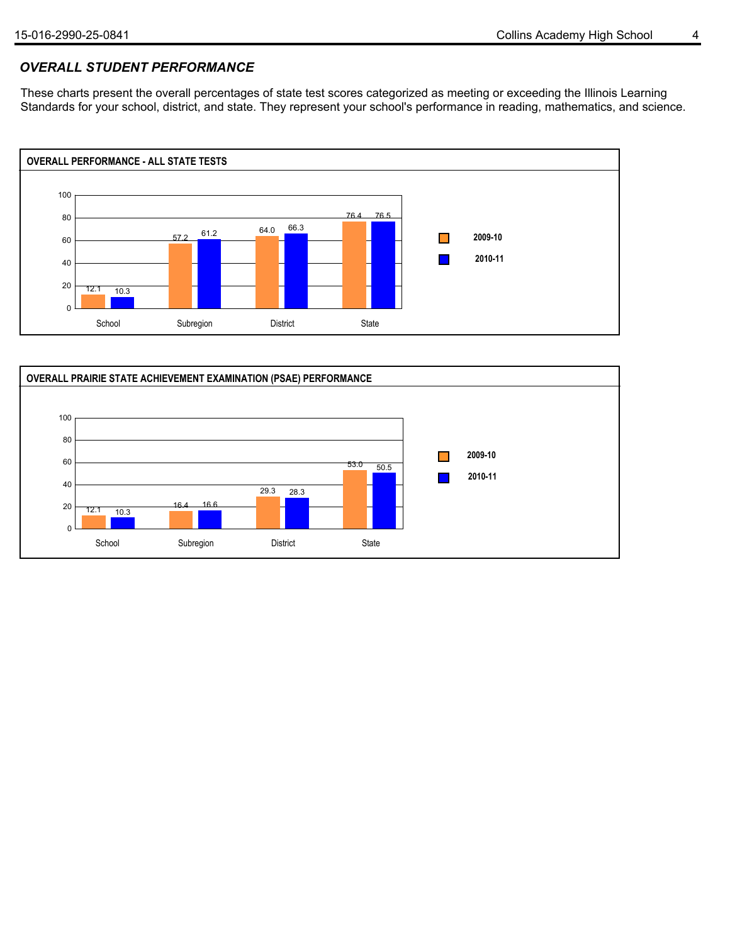## *OVERALL STUDENT PERFORMANCE*

These charts present the overall percentages of state test scores categorized as meeting or exceeding the Illinois Learning Standards for your school, district, and state. They represent your school's performance in reading, mathematics, and science.



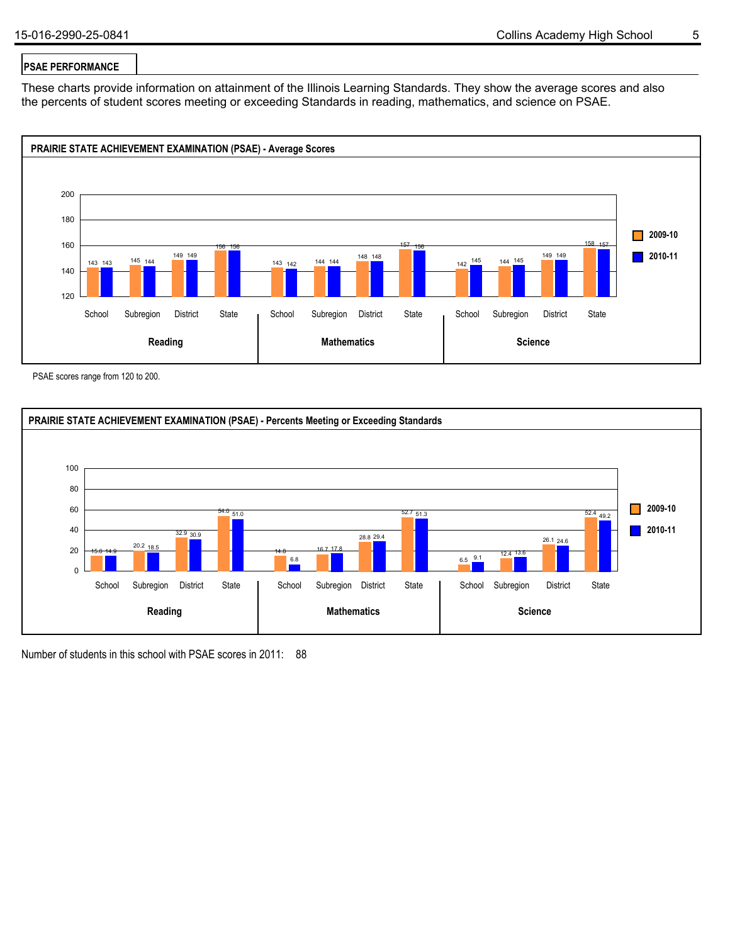### **PSAE PERFORMANCE**

These charts provide information on attainment of the Illinois Learning Standards. They show the average scores and also the percents of student scores meeting or exceeding Standards in reading, mathematics, and science on PSAE.



PSAE scores range from 120 to 200.



Number of students in this school with PSAE scores in 2011: 88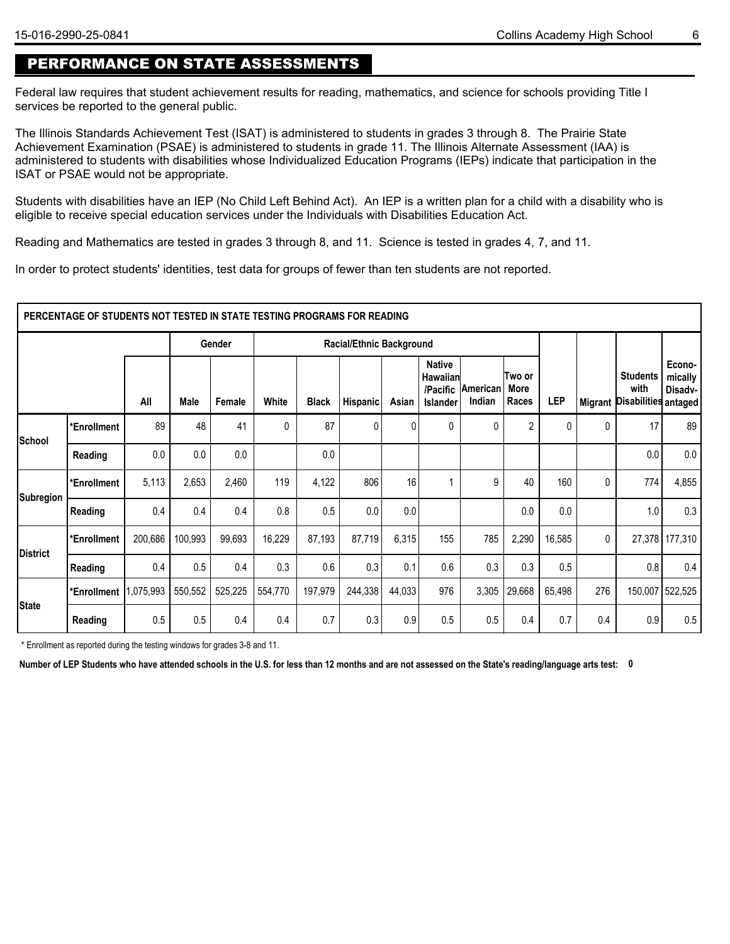## PERFORMANCE ON STATE ASSESSMENTS

Federal law requires that student achievement results for reading, mathematics, and science for schools providing Title I services be reported to the general public.

The Illinois Standards Achievement Test (ISAT) is administered to students in grades 3 through 8. The Prairie State Achievement Examination (PSAE) is administered to students in grade 11. The Illinois Alternate Assessment (IAA) is administered to students with disabilities whose Individualized Education Programs (IEPs) indicate that participation in the ISAT or PSAE would not be appropriate.

Students with disabilities have an IEP (No Child Left Behind Act). An IEP is a written plan for a child with a disability who is eligible to receive special education services under the Individuals with Disabilities Education Act.

Reading and Mathematics are tested in grades 3 through 8, and 11. Science is tested in grades 4, 7, and 11.

In order to protect students' identities, test data for groups of fewer than ten students are not reported.

|              | PERCENTAGE OF STUDENTS NOT TESTED IN STATE TESTING PROGRAMS FOR READING |         |             |         |         |         |                          |              |                                                                 |                    |                          |              |     |                                                 |                                         |
|--------------|-------------------------------------------------------------------------|---------|-------------|---------|---------|---------|--------------------------|--------------|-----------------------------------------------------------------|--------------------|--------------------------|--------------|-----|-------------------------------------------------|-----------------------------------------|
|              |                                                                         |         |             | Gender  |         |         | Racial/Ethnic Background |              |                                                                 |                    |                          |              |     |                                                 |                                         |
|              |                                                                         | All     | <b>Male</b> | Female  | White   | Black   | <b>Hispanic</b>          | Asian        | <b>Native</b><br><b>Hawaiian</b><br>/Pacific<br><b>Islander</b> | American<br>Indian | ∣Two or<br>More<br>Races | LEP          |     | <b>Students</b><br>with<br>Migrant Disabilities | Econo-<br>mically<br>Disadv-<br>antaged |
| School       | *Enrollment                                                             | 89      | 48          | 41      | 0       | 87      | 0                        | $\mathbf{0}$ | 0                                                               | 0                  | $\overline{2}$           | $\mathbf{0}$ | 0   | 17                                              | 89                                      |
|              | Reading                                                                 | 0.0     | 0.0         | 0.0     |         | 0.0     |                          |              |                                                                 |                    |                          |              |     | 0.0                                             | 0.0                                     |
| Subregion    | *Enrollment                                                             | 5,113   | 2,653       | 2,460   | 119     | 4,122   | 806                      | 16           |                                                                 | 9                  | 40                       | 160          | 0   | 774                                             | 4,855                                   |
|              | Reading                                                                 | 0.4     | 0.4         | 0.4     | 0.8     | 0.5     | 0.0                      | 0.0          |                                                                 |                    | 0.0                      | 0.0          |     | 1.0                                             | 0.3                                     |
|              | *Enrollment                                                             | 200,686 | 100,993     | 99,693  | 16,229  | 87,193  | 87,719                   | 6,315        | 155                                                             | 785                | 2,290                    | 16,585       | 0   |                                                 | 27,378 177,310                          |
| District     | Reading                                                                 | 0.4     | 0.5         | 0.4     | 0.3     | 0.6     | 0.3                      | 0.1          | 0.6                                                             | 0.3                | 0.3                      | 0.5          |     | 0.8                                             | 0.4                                     |
|              | *Enrollment 1,075,993                                                   |         | 550,552     | 525,225 | 554,770 | 197,979 | 244,338                  | 44,033       | 976                                                             | 3,305              | 29,668                   | 65,498       | 276 |                                                 | 150,007 522,525                         |
| <b>State</b> | Reading                                                                 | 0.5     | 0.5         | 0.4     | 0.4     | 0.7     | 0.3                      | 0.9          | 0.5                                                             | 0.5                | 0.4                      | 0.7          | 0.4 | 0.9                                             | 0.5                                     |

\* Enrollment as reported during the testing windows for grades 3-8 and 11.

**Number of LEP Students who have attended schools in the U.S. for less than 12 months and are not assessed on the State's reading/language arts test: 0**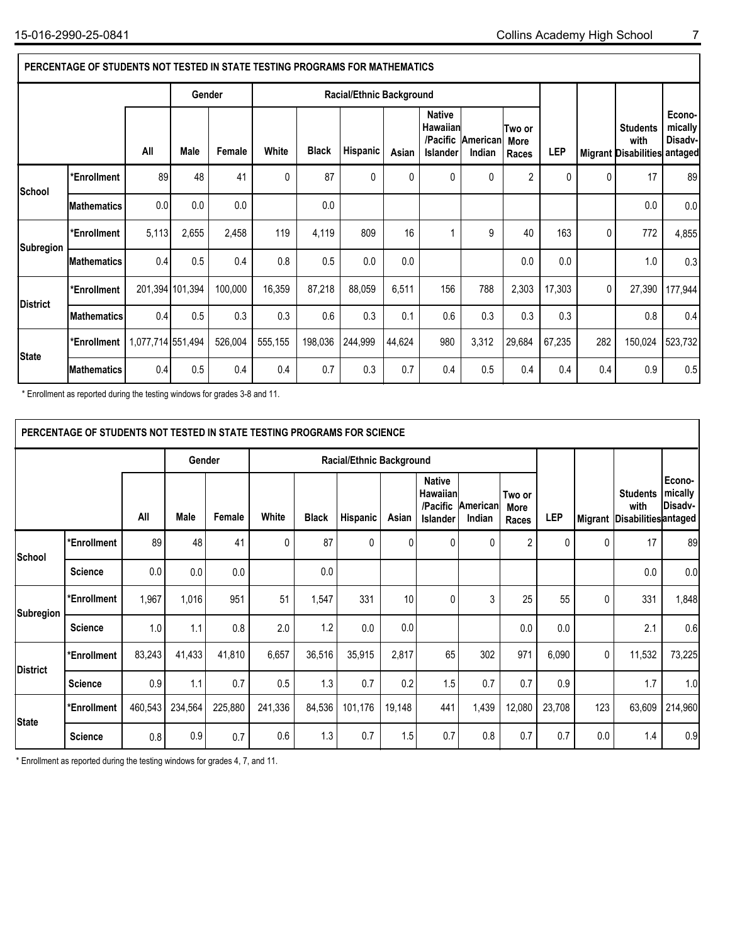|              | PERCENTAGE OF STUDENTS NOT TESTED IN STATE TESTING PROGRAMS FOR MATHEMATICS |                   |                 |         |         |              |                          |        |                                                                 |                    |                         |              |              |                                                         |                              |
|--------------|-----------------------------------------------------------------------------|-------------------|-----------------|---------|---------|--------------|--------------------------|--------|-----------------------------------------------------------------|--------------------|-------------------------|--------------|--------------|---------------------------------------------------------|------------------------------|
|              |                                                                             |                   | Gender          |         |         |              | Racial/Ethnic Background |        |                                                                 |                    |                         |              |              |                                                         |                              |
|              |                                                                             | All               | Male            | Female  | White   | <b>Black</b> | Hispanic                 | Asian  | <b>Native</b><br><b>Hawaiian</b><br>/Pacific<br><b>Islander</b> | American<br>Indian | Two or<br>More<br>Races | <b>LEP</b>   |              | <b>Students</b><br>with<br>Migrant Disabilities antaged | Econo-<br>mically<br>Disadv- |
| School       | *Enrollment                                                                 | 89                | 48              | 41      | 0       | 87           | $\mathbf{0}$             | 0      | 0                                                               | $\mathbf{0}$       | $\overline{2}$          | $\mathbf{0}$ | $\Omega$     | 17                                                      | 89                           |
|              | <b>Mathematics</b>                                                          | 0.0               | 0.0             | 0.0     |         | 0.0          |                          |        |                                                                 |                    |                         |              |              | 0.0                                                     | 0.0                          |
| Subregion    | *Enrollment                                                                 | 5,113             | 2,655           | 2,458   | 119     | 4,119        | 809                      | 16     |                                                                 | 9                  | 40                      | 163          | $\mathbf{0}$ | 772                                                     | 4,855                        |
|              | <b>Mathematics</b>                                                          | 0.4               | 0.5             | 0.4     | 0.8     | 0.5          | 0.0                      | 0.0    |                                                                 |                    | 0.0                     | 0.0          |              | 1.0                                                     | 0.3                          |
|              | *Enrollment                                                                 |                   | 201,394 101,394 | 100,000 | 16,359  | 87,218       | 88,059                   | 6,511  | 156                                                             | 788                | 2,303                   | 17,303       | $\mathbf 0$  | 27,390                                                  | 177,944                      |
| District     | Mathematics                                                                 | 0.4               | 0.5             | 0.3     | 0.3     | 0.6          | 0.3                      | 0.1    | 0.6                                                             | 0.3                | 0.3                     | 0.3          |              | 0.8                                                     | 0.4                          |
| <b>State</b> | *Enrollment                                                                 | 1,077,714 551,494 |                 | 526,004 | 555,155 | 198,036      | 244,999                  | 44,624 | 980                                                             | 3,312              | 29,684                  | 67,235       | 282          | 150,024                                                 | 523,732                      |
|              | <b>Mathematics</b>                                                          | 0.4               | 0.5             | 0.4     | 0.4     | 0.7          | 0.3                      | 0.7    | 0.4                                                             | 0.5                | 0.4                     | 0.4          | 0.4          | 0.9                                                     | 0.5                          |

\* Enrollment as reported during the testing windows for grades 3-8 and 11.

|                 | PERCENTAGE OF STUDENTS NOT TESTED IN STATE TESTING PROGRAMS FOR SCIENCE                                                                        |         |         |         |         |        |                          |                         |              |       |                                                         |                              |     |        |         |
|-----------------|------------------------------------------------------------------------------------------------------------------------------------------------|---------|---------|---------|---------|--------|--------------------------|-------------------------|--------------|-------|---------------------------------------------------------|------------------------------|-----|--------|---------|
|                 |                                                                                                                                                |         | Gender  |         |         |        | Racial/Ethnic Background |                         |              |       |                                                         |                              |     |        |         |
|                 | <b>Native</b><br>Hawaiian<br>/Pacific<br>American<br>All<br>White<br>Male<br>Female<br><b>Black</b><br>Hispanic<br>Asian<br>Indian<br>Islander |         |         |         |         |        |                          | Two or<br>More<br>Races | <b>LEP</b>   |       | <b>Students</b><br>with<br>Migrant Disabilities antaged | Econo-<br>mically<br>Disadv- |     |        |         |
| School          | *Enrollment                                                                                                                                    | 89      | 48      | 41      | 0       | 87     | $\mathbf{0}$             | Ŋ                       | $\mathbf{0}$ | 0     | $\overline{2}$                                          | 0                            | 0   | 17     | 89      |
|                 | <b>Science</b>                                                                                                                                 | 0.0     | 0.0     | 0.0     |         | 0.0    |                          |                         |              |       |                                                         |                              |     | 0.0    | 0.0     |
| Subregion       | *Enrollment                                                                                                                                    | 1,967   | 1,016   | 951     | 51      | 1,547  | 331                      | 10                      | $\mathbf{0}$ | 3     | 25                                                      | 55                           | 0   | 331    | 1,848   |
|                 | <b>Science</b>                                                                                                                                 | 1.0     | 1.1     | 0.8     | 2.0     | 1.2    | 0.0                      | 0.0                     |              |       | 0.0                                                     | 0.0                          |     | 2.1    | 0.6     |
| <b>District</b> | *Enrollment                                                                                                                                    | 83,243  | 41,433  | 41,810  | 6,657   | 36,516 | 35,915                   | 2,817                   | 65           | 302   | 971                                                     | 6,090                        | 0   | 11,532 | 73,225  |
|                 | <b>Science</b>                                                                                                                                 | 0.9     | 1.1     | 0.7     | 0.5     | 1.3    | 0.7                      | 0.2                     | 1.5          | 0.7   | 0.7                                                     | 0.9                          |     | 1.7    | 1.0     |
| <b>State</b>    | *Enrollment                                                                                                                                    | 460,543 | 234,564 | 225,880 | 241,336 | 84,536 | 101,176                  | 19,148                  | 441          | 1,439 | 12,080                                                  | 23,708                       | 123 | 63,609 | 214,960 |
|                 | <b>Science</b>                                                                                                                                 | 0.8     | 0.9     | 0.7     | 0.6     | 1.3    | 0.7                      | 1.5                     | 0.7          | 0.8   | 0.7                                                     | 0.7                          | 0.0 | 1.4    | 0.9     |

\* Enrollment as reported during the testing windows for grades 4, 7, and 11.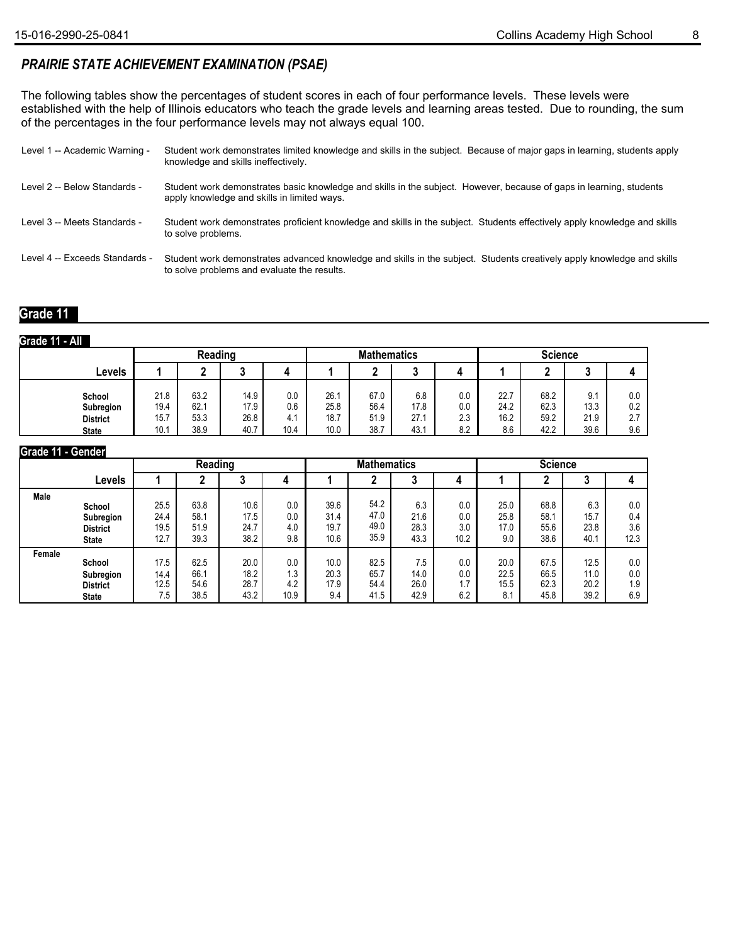## *PRAIRIE STATE ACHIEVEMENT EXAMINATION (PSAE)*

The following tables show the percentages of student scores in each of four performance levels. These levels were established with the help of Illinois educators who teach the grade levels and learning areas tested. Due to rounding, the sum of the percentages in the four performance levels may not always equal 100.

| Level 1 -- Academic Warning -  | Student work demonstrates limited knowledge and skills in the subject. Because of major gaps in learning, students apply<br>knowledge and skills ineffectively.       |
|--------------------------------|-----------------------------------------------------------------------------------------------------------------------------------------------------------------------|
| Level 2 -- Below Standards -   | Student work demonstrates basic knowledge and skills in the subject. However, because of gaps in learning, students<br>apply knowledge and skills in limited ways.    |
| Level 3 -- Meets Standards -   | Student work demonstrates proficient knowledge and skills in the subject. Students effectively apply knowledge and skills<br>to solve problems.                       |
| Level 4 -- Exceeds Standards - | Student work demonstrates advanced knowledge and skills in the subject. Students creatively apply knowledge and skills<br>to solve problems and evaluate the results. |

#### **Grade 11**

#### **Grade 11 - All**

|                                                        |                              | Reading                      |                              |                           |                              | <b>Mathematics</b>           |                             |                          | <b>Science</b>              |                              |                             |                          |  |
|--------------------------------------------------------|------------------------------|------------------------------|------------------------------|---------------------------|------------------------------|------------------------------|-----------------------------|--------------------------|-----------------------------|------------------------------|-----------------------------|--------------------------|--|
| ∟evels                                                 |                              | n                            |                              |                           |                              |                              | ◠                           |                          |                             |                              | ◠<br>ω                      |                          |  |
| School<br>Subregion<br><b>District</b><br><b>State</b> | 21.8<br>19.4<br>15.7<br>10.1 | 63.2<br>62.1<br>53.3<br>38.9 | 14.9<br>17.9<br>26.8<br>40.7 | 0.0<br>0.6<br>4.1<br>10.4 | 26.1<br>25.8<br>18.7<br>10.0 | 67.0<br>56.4<br>51.9<br>38.7 | 6.8<br>17.8<br>27.1<br>43.1 | 0.0<br>0.0<br>2.3<br>8.2 | 22.7<br>24.2<br>16.2<br>8.6 | 68.2<br>62.3<br>59.2<br>42.2 | 9.1<br>13.3<br>21.9<br>39.6 | 0.0<br>0.2<br>2.7<br>9.6 |  |

#### **Grade 11 - Gender**

|             |                 |      | Reading |      |      |      | <b>Mathematics</b> |      |      | <b>Science</b> |      |      |      |  |
|-------------|-----------------|------|---------|------|------|------|--------------------|------|------|----------------|------|------|------|--|
|             | Levels          |      |         | J    |      |      |                    |      |      |                |      |      |      |  |
| <b>Male</b> | School          | 25.5 | 63.8    | 10.6 | 0.0  | 39.6 | 54.2               | 6.3  | 0.0  | 25.0           | 68.8 | 6.3  | 0.0  |  |
|             | Subregion       | 24.4 | 58.1    | 17.5 | 0.0  | 31.4 | 47.0               | 21.6 | 0.0  | 25.8           | 58.1 | 15.7 | 0.4  |  |
|             | <b>District</b> | 19.5 | 51.9    | 24.7 | 4.0  | 19.7 | 49.0               | 28.3 | 3.0  | 17.0           | 55.6 | 23.8 | 3.6  |  |
|             | <b>State</b>    | 12.7 | 39.3    | 38.2 | 9.8  | 10.6 | 35.9               | 43.3 | 10.2 | 9.0            | 38.6 | 40.1 | 12.3 |  |
| Female      | School          | 17.5 | 62.5    | 20.0 | 0.0  | 10.0 | 82.5               | 7.5  | 0.0  | 20.0           | 67.5 | 12.5 | 0.0  |  |
|             | Subregion       | 14.4 | 66.1    | 18.2 | 1.3  | 20.3 | 65.7               | 14.0 | 0.0  | 22.5           | 66.5 | 11.0 | 0.0  |  |
|             | <b>District</b> | 12.5 | 54.6    | 28.7 | 4.2  | 17.9 | 54.4               | 26.0 | 1.7  | 15.5           | 62.3 | 20.2 | 1.9  |  |
|             | <b>State</b>    | 7.5  | 38.5    | 43.2 | 10.9 | 9.4  | 41.5               | 42.9 | 6.2  | 8.1            | 45.8 | 39.2 | 6.9  |  |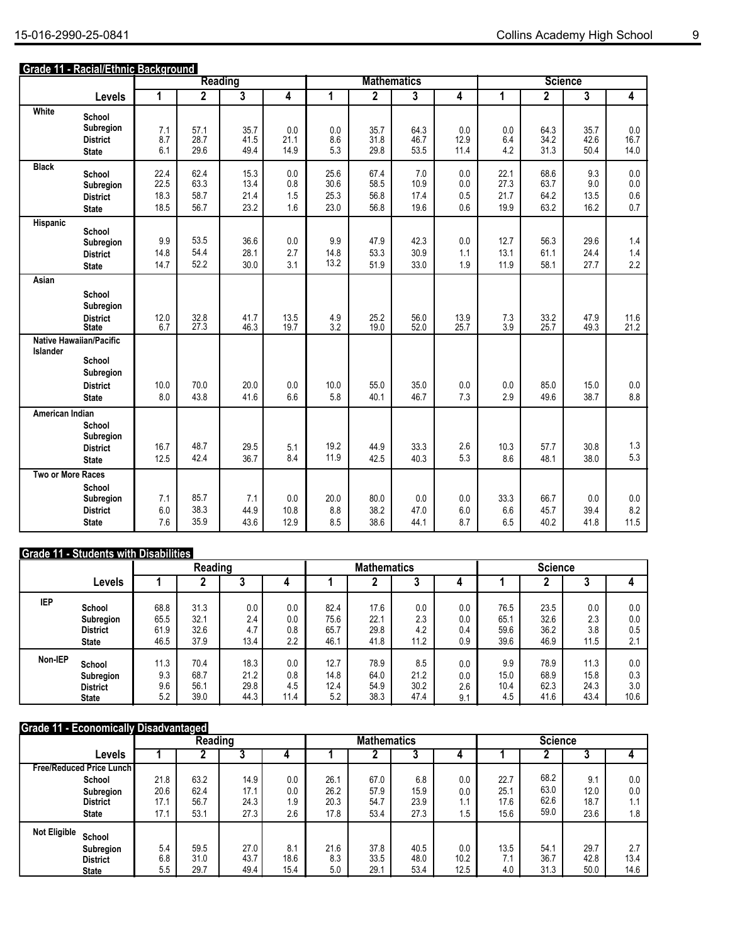#### **Grade 11 - Racial/Ethnic Background**

|                   |                                                                                          |                              |                              | <b>Reading</b>               |                          |                              |                              | <b>Mathematics</b>          |                          |                              |                              | <b>Science</b>             |                          |
|-------------------|------------------------------------------------------------------------------------------|------------------------------|------------------------------|------------------------------|--------------------------|------------------------------|------------------------------|-----------------------------|--------------------------|------------------------------|------------------------------|----------------------------|--------------------------|
|                   | Levels                                                                                   | 1                            | $\overline{2}$               | $\overline{\overline{3}}$    | 4                        | 1                            | $\overline{2}$               | 3                           | 4                        | 1                            | $\overline{2}$               | 3                          | 4                        |
| White             | School<br>Subregion<br><b>District</b><br><b>State</b>                                   | 7.1<br>8.7<br>6.1            | 57.1<br>28.7<br>29.6         | 35.7<br>41.5<br>49.4         | 0.0<br>21.1<br>14.9      | 0.0<br>8.6<br>5.3            | 35.7<br>31.8<br>29.8         | 64.3<br>46.7<br>53.5        | 0.0<br>12.9<br>11.4      | 0.0<br>6.4<br>4.2            | 64.3<br>34.2<br>31.3         | 35.7<br>42.6<br>50.4       | 0.0<br>16.7<br>14.0      |
| <b>Black</b>      | School<br>Subregion<br><b>District</b><br><b>State</b>                                   | 22.4<br>22.5<br>18.3<br>18.5 | 62.4<br>63.3<br>58.7<br>56.7 | 15.3<br>13.4<br>21.4<br>23.2 | 0.0<br>0.8<br>1.5<br>1.6 | 25.6<br>30.6<br>25.3<br>23.0 | 67.4<br>58.5<br>56.8<br>56.8 | 7.0<br>10.9<br>17.4<br>19.6 | 0.0<br>0.0<br>0.5<br>0.6 | 22.1<br>27.3<br>21.7<br>19.9 | 68.6<br>63.7<br>64.2<br>63.2 | 9.3<br>9.0<br>13.5<br>16.2 | 0.0<br>0.0<br>0.6<br>0.7 |
| Hispanic          | School<br>Subregion<br><b>District</b><br><b>State</b>                                   | 9.9<br>14.8<br>14.7          | 53.5<br>54.4<br>52.2         | 36.6<br>28.1<br>30.0         | 0.0<br>2.7<br>3.1        | 9.9<br>14.8<br>13.2          | 47.9<br>53.3<br>51.9         | 42.3<br>30.9<br>33.0        | 0.0<br>1.1<br>1.9        | 12.7<br>13.1<br>11.9         | 56.3<br>61.1<br>58.1         | 29.6<br>24.4<br>27.7       | 1.4<br>1.4<br>2.2        |
| Asian             | School<br>Subregion<br><b>District</b><br><b>State</b>                                   | $^{12.0}_{6.7}$              | 32.8<br>27.3                 | 41.7<br>46.3                 | 13.5<br>19.7             | $\frac{4.9}{3.2}$            | 25.2<br>19.0                 | 56.0<br>52.0                | 13.9<br>25.7             | $\frac{7.3}{3.9}$            | 33.2<br>25.7                 | 47.9<br>49.3               | 11.6<br>21.2             |
| Islander          | <b>Native Hawaiian/Pacific</b><br>School<br>Subregion<br><b>District</b><br><b>State</b> | 10.0<br>8.0                  | 70.0<br>43.8                 | 20.0<br>41.6                 | 0.0<br>6.6               | 10.0<br>5.8                  | 55.0<br>40.1                 | 35.0<br>46.7                | 0.0<br>7.3               | 0.0<br>2.9                   | 85.0<br>49.6                 | 15.0<br>38.7               | 0.0<br>8.8               |
| American Indian   | School<br>Subregion<br><b>District</b><br><b>State</b>                                   | 16.7<br>12.5                 | 48.7<br>42.4                 | 29.5<br>36.7                 | 5.1<br>8.4               | 19.2<br>11.9                 | 44.9<br>42.5                 | 33.3<br>40.3                | 2.6<br>5.3               | 10.3<br>8.6                  | 57.7<br>48.1                 | 30.8<br>38.0               | 1.3<br>5.3               |
| Two or More Races | School<br>Subregion<br><b>District</b><br><b>State</b>                                   | 7.1<br>6.0<br>7.6            | 85.7<br>38.3<br>35.9         | 7.1<br>44.9<br>43.6          | 0.0<br>10.8<br>12.9      | 20.0<br>8.8<br>8.5           | 80.0<br>38.2<br>38.6         | 0.0<br>47.0<br>44.1         | 0.0<br>6.0<br>8.7        | 33.3<br>6.6<br>6.5           | 66.7<br>45.7<br>40.2         | 0.0<br>39.4<br>41.8        | 0.0<br>8.2<br>11.5       |

### **Grade 11 - Students with Disabilities**

|            |                 |      | Reading |      |      |      | <b>Mathematics</b> |      |     | <b>Science</b> |      |      |      |  |
|------------|-----------------|------|---------|------|------|------|--------------------|------|-----|----------------|------|------|------|--|
|            | Levels          |      |         | J    |      |      |                    |      |     |                |      |      |      |  |
| <b>IEP</b> | School          | 68.8 | 31.3    | 0.0  | 0.0  | 82.4 | 17.6               | 0.0  | 0.0 | 76.5           | 23.5 | 0.0  | 0.0  |  |
|            | Subregion       | 65.5 | 32.1    | 2.4  | 0.0  | 75.6 | 22.1               | 2.3  | 0.0 | 65.1           | 32.6 | 2.3  | 0.0  |  |
|            | <b>District</b> | 61.9 | 32.6    | 4.7  | 0.8  | 65.7 | 29.8               | 4.2  | 0.4 | 59.6           | 36.2 | 3.8  | 0.5  |  |
|            | <b>State</b>    | 46.5 | 37.9    | 13.4 | 2.2  | 46.7 | 41.8               | 11.2 | 0.9 | 39.6           | 46.9 | 11.5 | 2.1  |  |
| Non-IEP    | School          | 11.3 | 70.4    | 18.3 | 0.0  | 12.7 | 78.9               | 8.5  | 0.0 | 9.9            | 78.9 | 11.3 | 0.0  |  |
|            | Subregion       | 9.3  | 68.7    | 21.2 | 0.8  | 14.8 | 64.0               | 21.2 | 0.0 | 15.0           | 68.9 | 15.8 | 0.3  |  |
|            | <b>District</b> | 9.6  | 56.1    | 29.8 | 4.5  | 12.4 | 54.9               | 30.2 | 2.6 | 10.4           | 62.3 | 24.3 | 3.0  |  |
|            | <b>State</b>    | 5.2  | 39.0    | 44.3 | 11.4 | 5.2  | 38.3               | 47.4 | 9.1 | 4.5            | 41.6 | 43.4 | 10.6 |  |

#### **Grade 11 - Economically Disadvantaged**

|                                   | Reading |      |      |      |      | <b>Mathematics</b> |      |      | <b>Science</b> |      |      |               |  |
|-----------------------------------|---------|------|------|------|------|--------------------|------|------|----------------|------|------|---------------|--|
| Levels                            |         |      |      |      |      |                    |      |      |                |      |      |               |  |
| <b>Free/Reduced Price Lunch I</b> |         |      |      |      |      |                    |      |      |                |      |      |               |  |
| School                            | 21.8    | 63.2 | 14.9 | 0.0  | 26.1 | 67.0               | 6.8  | 0.0  | 22.7           | 68.2 | 9.1  | 0.0           |  |
| Subregion                         | 20.6    | 62.4 | 17.1 | 0.0  | 26.2 | 57.9               | 15.9 | 0.0  | 25.1           | 63.0 | 12.0 | 0.0           |  |
| <b>District</b>                   | 17.1    | 56.7 | 24.3 | 1.9  | 20.3 | 54.7               | 23.9 | 1.1  | 17.6           | 62.6 | 18.7 |               |  |
| <b>State</b>                      | 17.1    | 53.1 | 27.3 | 2.6  | 17.8 | 53.4               | 27.3 | ۱.5  | 15.6           | 59.0 | 23.6 | 1.8           |  |
| <b>Not Eligible</b><br>School     |         |      |      |      |      |                    |      |      |                |      |      |               |  |
| Subregion                         | 5.4     | 59.5 | 27.0 | 8.1  | 21.6 | 37.8               | 40.5 | 0.0  | 13.5           | 54.7 | 29.7 | $\sim$ $\sim$ |  |
| <b>District</b>                   | 6.8     | 31.0 | 43.7 | 18.6 | 8.3  | 33.5               | 48.0 | 10.2 | 7.1            | 36.7 | 42.8 | 13.4          |  |
| <b>State</b>                      | 5.5     | 29.7 | 49.4 | 15.4 | 5.0  | 29.1               | 53.4 | 12.5 | 4.0            | 31.3 | 50.0 | 14.6          |  |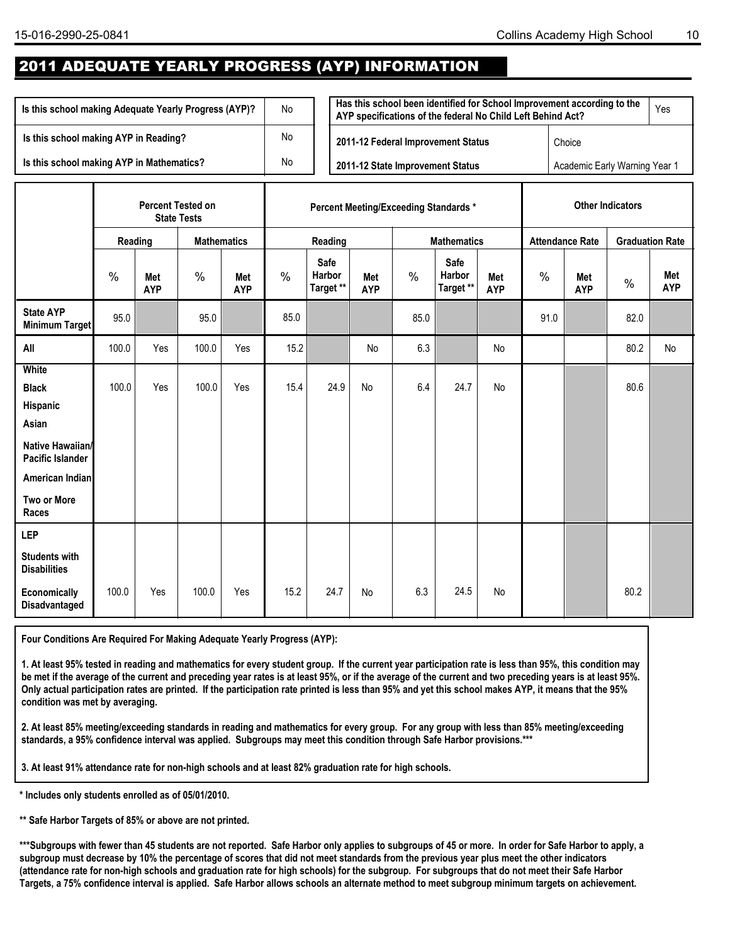## 2011 ADEQUATE YEARLY PROGRESS (AYP) INFORMATION

| Is this school making Adequate Yearly Progress (AYP)? | No | Has this school been identified for School Improvement according to the<br>AYP specifications of the federal No Child Left Behind Act? |                               | Yes |
|-------------------------------------------------------|----|----------------------------------------------------------------------------------------------------------------------------------------|-------------------------------|-----|
| Is this school making AYP in Reading?                 | No | 2011-12 Federal Improvement Status                                                                                                     | Choice                        |     |
| Is this school making AYP in Mathematics?             | No | 2011-12 State Improvement Status                                                                                                       | Academic Early Warning Year 1 |     |

|                                                                                                                                             |         | <b>Percent Tested on</b> | <b>State Tests</b> |                          |               |                             | <b>Percent Meeting/Exceeding Standards *</b> |               | <b>Other Indicators</b>     |                          |                        |                   |                        |                   |
|---------------------------------------------------------------------------------------------------------------------------------------------|---------|--------------------------|--------------------|--------------------------|---------------|-----------------------------|----------------------------------------------|---------------|-----------------------------|--------------------------|------------------------|-------------------|------------------------|-------------------|
|                                                                                                                                             | Reading |                          | <b>Mathematics</b> |                          |               | Reading                     |                                              |               | <b>Mathematics</b>          |                          | <b>Attendance Rate</b> |                   | <b>Graduation Rate</b> |                   |
|                                                                                                                                             | $\%$    | <b>Met</b><br><b>AYP</b> | %                  | <b>Met</b><br><b>AYP</b> | $\frac{0}{0}$ | Safe<br>Harbor<br>Target ** | Met<br><b>AYP</b>                            | $\frac{0}{0}$ | Safe<br>Harbor<br>Target ** | <b>Met</b><br><b>AYP</b> | $\%$                   | Met<br><b>AYP</b> | $\%$                   | Met<br><b>AYP</b> |
| <b>State AYP</b><br>Minimum Target                                                                                                          | 95.0    |                          | 95.0               |                          | 85.0          |                             |                                              | 85.0          |                             |                          | 91.0                   |                   | 82.0                   |                   |
| All                                                                                                                                         | 100.0   | Yes                      | 100.0              | Yes                      | 15.2          |                             | <b>No</b>                                    | 6.3           |                             | No                       |                        |                   | 80.2                   | No                |
| <b>White</b><br><b>Black</b><br>Hispanic<br>Asian<br>Native Hawaiian/<br><b>Pacific Islander</b><br>American Indian<br>Two or More<br>Races | 100.0   | Yes                      | 100.0              | Yes                      | 15.4          | 24.9                        | No                                           | 6.4           | 24.7                        | No                       |                        |                   | 80.6                   |                   |
| <b>LEP</b><br><b>Students with</b><br><b>Disabilities</b><br>Economically<br>Disadvantaged                                                  | 100.0   | Yes                      | 100.0              | Yes                      | 15.2          | 24.7                        | No                                           | 6.3           | 24.5                        | No                       |                        |                   | 80.2                   |                   |

**Four Conditions Are Required For Making Adequate Yearly Progress (AYP):**

**1. At least 95% tested in reading and mathematics for every student group. If the current year participation rate is less than 95%, this condition may be met if the average of the current and preceding year rates is at least 95%, or if the average of the current and two preceding years is at least 95%. Only actual participation rates are printed. If the participation rate printed is less than 95% and yet this school makes AYP, it means that the 95% condition was met by averaging.**

**2. At least 85% meeting/exceeding standards in reading and mathematics for every group. For any group with less than 85% meeting/exceeding standards, a 95% confidence interval was applied. Subgroups may meet this condition through Safe Harbor provisions.\*\*\*** 

**3. At least 91% attendance rate for non-high schools and at least 82% graduation rate for high schools**.

**\* Includes only students enrolled as of 05/01/2010.**

**\*\* Safe Harbor Targets of 85% or above are not printed.**

\*\*\*Subgroups with fewer than 45 students are not reported. Safe Harbor only applies to subgroups of 45 or more. In order for Safe Harbor to apply, a **subgroup must decrease by 10% the percentage of scores that did not meet standards from the previous year plus meet the other indicators (attendance rate for non-high schools and graduation rate for high schools) for the subgroup. For subgroups that do not meet their Safe Harbor Targets, a 75% confidence interval is applied. Safe Harbor allows schools an alternate method to meet subgroup minimum targets on achievement.**